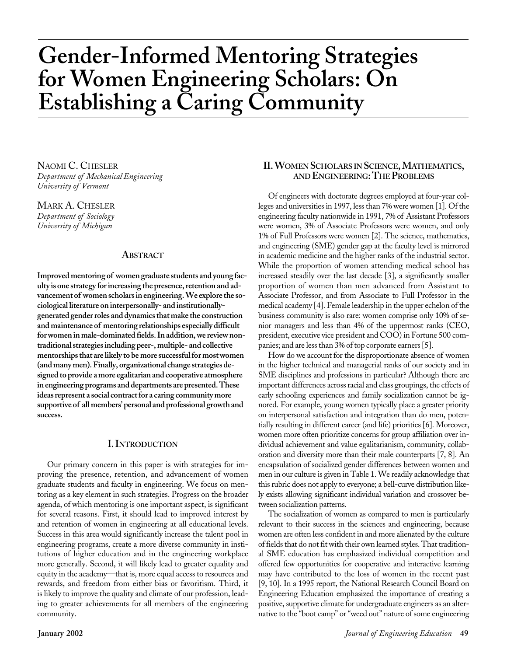# **Gender-Informed Mentoring Strategies for Women Engineering Scholars: On Establishing a Caring Community**

NAOMI C. CHESLER *Department of Mechanical Engineering University of Vermont*

MARK A. CHESLER *Department of Sociology University of Michigan*

## **ABSTRACT**

**Improved mentoring of women graduate students and young faculty is one strategy for increasing the presence, retention and advancement of women scholars in engineering. We explore the sociological literature on interpersonally- and institutionallygenerated gender roles and dynamics that make the construction and maintenance of mentoring relationships especially difficult for women in male-dominated fields. In addition, we review nontraditional strategies including peer-, multiple- and collective mentorships that are likely to be more successful for most women (and many men). Finally, organizational change strategies designed to provide a more egalitarian and cooperative atmosphere in engineering programs and departments are presented. These ideas represent a social contract for a caring community more supportive of all members' personal and professional growth and success.**

# **I. INTRODUCTION**

Our primary concern in this paper is with strategies for improving the presence, retention, and advancement of women graduate students and faculty in engineering. We focus on mentoring as a key element in such strategies. Progress on the broader agenda, of which mentoring is one important aspect, is significant for several reasons. First, it should lead to improved interest by and retention of women in engineering at all educational levels. Success in this area would significantly increase the talent pool in engineering programs, create a more diverse community in institutions of higher education and in the engineering workplace more generally. Second, it will likely lead to greater equality and equity in the academy—that is, more equal access to resources and rewards, and freedom from either bias or favoritism. Third, it is likely to improve the quality and climate of our profession, leading to greater achievements for all members of the engineering community.

# **II. WOMEN SCHOLARS IN SCIENCE, MATHEMATICS, AND ENGINEERING: THEPROBLEMS**

Of engineers with doctorate degrees employed at four-year colleges and universities in 1997, less than 7% were women [1]. Of the engineering faculty nationwide in 1991, 7% of Assistant Professors were women, 3% of Associate Professors were women, and only 1% of Full Professors were women [2]. The science, mathematics, and engineering (SME) gender gap at the faculty level is mirrored in academic medicine and the higher ranks of the industrial sector. While the proportion of women attending medical school has increased steadily over the last decade [3], a significantly smaller proportion of women than men advanced from Assistant to Associate Professor, and from Associate to Full Professor in the medical academy [4]. Female leadership in the upper echelon of the business community is also rare: women comprise only 10% of senior managers and less than 4% of the uppermost ranks (CEO, president, executive vice president and COO) in Fortune 500 companies; and are less than 3% of top corporate earners [5].

How do we account for the disproportionate absence of women in the higher technical and managerial ranks of our society and in SME disciplines and professions in particular? Although there are important differences across racial and class groupings, the effects of early schooling experiences and family socialization cannot be ignored. For example, young women typically place a greater priority on interpersonal satisfaction and integration than do men, potentially resulting in different career (and life) priorities [6]. Moreover, women more often prioritize concerns for group affiliation over individual achievement and value egalitarianism, community, collaboration and diversity more than their male counterparts [7, 8]. An encapsulation of socialized gender differences between women and men in our culture is given in Table 1. We readily acknowledge that this rubric does not apply to everyone; a bell-curve distribution likely exists allowing significant individual variation and crossover between socialization patterns.

The socialization of women as compared to men is particularly relevant to their success in the sciences and engineering, because women are often less confident in and more alienated by the culture of fields that do not fit with their own learned styles. That traditional SME education has emphasized individual competition and offered few opportunities for cooperative and interactive learning may have contributed to the loss of women in the recent past [9, 10]. In a 1995 report, the National Research Council Board on Engineering Education emphasized the importance of creating a positive, supportive climate for undergraduate engineers as an alternative to the "boot camp" or "weed out" nature of some engineering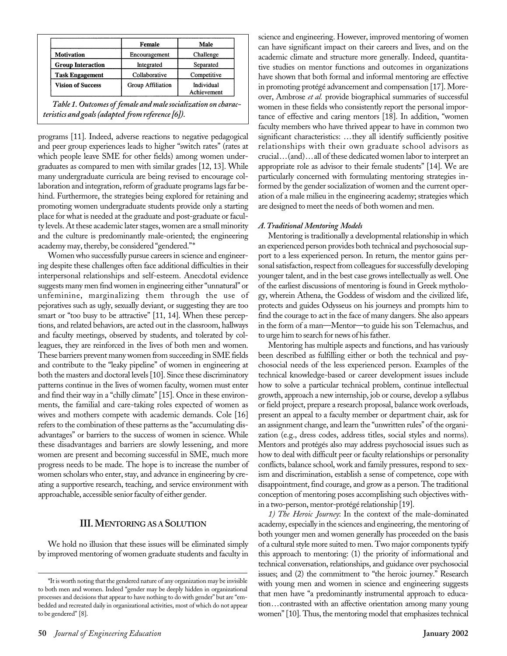|                          | Female            | Male                      |
|--------------------------|-------------------|---------------------------|
| <b>Motivation</b>        | Encouragement     | Challenge                 |
| <b>Group Interaction</b> | Integrated        | Separated                 |
| <b>Task Engagement</b>   | Collaborative     | Competitive               |
| <b>Vision of Success</b> | Group Affiliation | Individual<br>Achievement |

*teristics and goals (adapted from reference [6]).*

programs [11]. Indeed, adverse reactions to negative pedagogical and peer group experiences leads to higher "switch rates" (rates at which people leave SME for other fields) among women undergraduates as compared to men with similar grades [12, 13]. While many undergraduate curricula are being revised to encourage collaboration and integration, reform of graduate programs lags far behind. Furthermore, the strategies being explored for retaining and promoting women undergraduate students provide only a starting place for what is needed at the graduate and post-graduate or faculty levels. At these academic later stages, women are a small minority and the culture is predominantly male-oriented; the engineering academy may, thereby, be considered "gendered."\*

Women who successfully pursue careers in science and engineering despite these challenges often face additional difficulties in their interpersonal relationships and self-esteem. Anecdotal evidence suggests many men find women in engineering either "unnatural" or unfeminine, marginalizing them through the use of pejoratives such as ugly, sexually deviant, or suggesting they are too smart or "too busy to be attractive" [11, 14]. When these perceptions, and related behaviors, are acted out in the classroom, hallways and faculty meetings, observed by students, and tolerated by colleagues, they are reinforced in the lives of both men and women. These barriers prevent many women from succeeding in SME fields and contribute to the "leaky pipeline" of women in engineering at both the masters and doctoral levels [10]. Since these discriminatory patterns continue in the lives of women faculty, women must enter and find their way in a "chilly climate" [15]. Once in these environments, the familial and care-taking roles expected of women as wives and mothers compete with academic demands. Cole [16] refers to the combination of these patterns as the "accumulating disadvantages" or barriers to the success of women in science. While these disadvantages and barriers are slowly lessening, and more women are present and becoming successful in SME, much more progress needs to be made. The hope is to increase the number of women scholars who enter, stay, and advance in engineering by creating a supportive research, teaching, and service environment with approachable, accessible senior faculty of either gender.

## **III. MENTORING AS A SOLUTION**

We hold no illusion that these issues will be eliminated simply by improved mentoring of women graduate students and faculty in

**50** *Journal of Engineering Education* **January 2002**

science and engineering. However, improved mentoring of women can have significant impact on their careers and lives, and on the academic climate and structure more generally. Indeed, quantitative studies on mentor functions and outcomes in organizations have shown that both formal and informal mentoring are effective in promoting protégé advancement and compensation [17]. Moreover, Ambrose *et al.* provide biographical summaries of successful women in these fields who consistently report the personal importance of effective and caring mentors [18]. In addition, "women faculty members who have thrived appear to have in common two significant characteristics: ...they all identify sufficiently positive relationships with their own graduate school advisors as crucial…(and)…all of these dedicated women labor to interpret an appropriate role as advisor to their female students" [14]. We are particularly concerned with formulating mentoring strategies informed by the gender socialization of women and the current operation of a male milieu in the engineering academy; strategies which are designed to meet the needs of both women and men.

#### *A. Traditional Mentoring Models*

Mentoring is traditionally a developmental relationship in which an experienced person provides both technical and psychosocial support to a less experienced person. In return, the mentor gains personal satisfaction, respect from colleagues for successfully developing younger talent, and in the best case grows intellectually as well. One of the earliest discussions of mentoring is found in Greek mythology, wherein Athena, the Goddess of wisdom and the civilized life, protects and guides Odysseus on his journeys and prompts him to find the courage to act in the face of many dangers. She also appears in the form of a man—Mentor—to guide his son Telemachus, and to urge him to search for news of his father.

Mentoring has multiple aspects and functions, and has variously been described as fulfilling either or both the technical and psychosocial needs of the less experienced person. Examples of the technical knowledge-based or career development issues include how to solve a particular technical problem, continue intellectual growth, approach a new internship, job or course, develop a syllabus or field project, prepare a research proposal, balance work overloads, present an appeal to a faculty member or department chair, ask for an assignment change, and learn the "unwritten rules" of the organization (e.g., dress codes, address titles, social styles and norms). Mentors and protégés also may address psychosocial issues such as how to deal with difficult peer or faculty relationships or personality conflicts, balance school, work and family pressures, respond to sexism and discrimination, establish a sense of competence, cope with disappointment, find courage, and grow as a person. The traditional conception of mentoring poses accomplishing such objectives within a two-person, mentor-protégé relationship [19].

*1) The Heroic Journey*: In the context of the male-dominated academy, especially in the sciences and engineering, the mentoring of both younger men and women generally has proceeded on the basis of a cultural style more suited to men. Two major components typify this approach to mentoring: (1) the priority of informational and technical conversation, relationships, and guidance over psychosocial issues; and (2) the commitment to "the heroic journey." Research with young men and women in science and engineering suggests that men have "a predominantly instrumental approach to education…contrasted with an affective orientation among many young women" [10]. Thus, the mentoring model that emphasizes technical

<sup>\*</sup>It is worth noting that the gendered nature of any organization may be invisible to both men and women. Indeed "gender may be deeply hidden in organizational processes and decisions that appear to have nothing to do with gender" but are "embedded and recreated daily in organizational activities, most of which do not appear to be gendered" [8].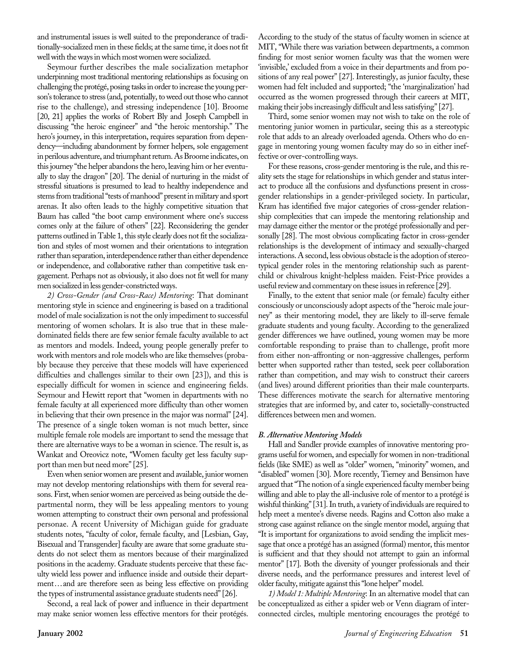and instrumental issues is well suited to the preponderance of traditionally-socialized men in these fields; at the same time, it does not fit well with the ways in which most women were socialized.

Seymour further describes the male socialization metaphor underpinning most traditional mentoring relationships as focusing on challenging the protégé, posing tasks in order to increase the young person's tolerance to stress (and, potentially, to weed out those who cannot rise to the challenge), and stressing independence [10]. Broome [20, 21] applies the works of Robert Bly and Joseph Campbell in discussing "the heroic engineer" and "the heroic mentorship." The hero's journey, in this interpretation, requires separation from dependency—including abandonment by former helpers, sole engagement in perilous adventure, and triumphant return. As Broome indicates, on this journey "the helper abandons the hero, leaving him or her eventually to slay the dragon" [20]. The denial of nurturing in the midst of stressful situations is presumed to lead to healthy independence and stems from traditional "tests of manhood" present in military and sport arenas. It also often leads to the highly competitive situation that Baum has called "the boot camp environment where one's success comes only at the failure of others" [22]. Reconsidering the gender patterns outlined in Table 1, this style clearly does not fit the socialization and styles of most women and their orientations to integration rather than separation, interdependence rather than either dependence or independence, and collaborative rather than competitive task engagement. Perhaps not as obviously, it also does not fit well for many men socialized in less gender-constricted ways.

*2) Cross-Gender (and Cross-Race) Mentoring*: That dominant mentoring style in science and engineering is based on a traditional model of male socialization is not the only impediment to successful mentoring of women scholars. It is also true that in these maledominated fields there are few senior female faculty available to act as mentors and models. Indeed, young people generally prefer to work with mentors and role models who are like themselves (probably because they perceive that these models will have experienced difficulties and challenges similar to their own [23]), and this is especially difficult for women in science and engineering fields. Seymour and Hewitt report that "women in departments with no female faculty at all experienced more difficulty than other women in believing that their own presence in the major was normal" [24]. The presence of a single token woman is not much better, since multiple female role models are important to send the message that there are alternative ways to be a woman in science. The result is, as Wankat and Oreovicz note, "Women faculty get less faculty support than men but need more" [25].

Even when senior women are present and available, junior women may not develop mentoring relationships with them for several reasons. First, when senior women are perceived as being outside the departmental norm, they will be less appealing mentors to young women attempting to construct their own personal and professional personae. A recent University of Michigan guide for graduate students notes, "faculty of color, female faculty, and [Lesbian, Gay, Bisexual and Transgender] faculty are aware that some graduate students do not select them as mentors because of their marginalized positions in the academy. Graduate students perceive that these faculty wield less power and influence inside and outside their department…and are therefore seen as being less effective on providing the types of instrumental assistance graduate students need" [26].

Second, a real lack of power and influence in their department may make senior women less effective mentors for their protégés.

According to the study of the status of faculty women in science at MIT, "While there was variation between departments, a common finding for most senior women faculty was that the women were 'invisible,' excluded from a voice in their departments and from positions of any real power" [27]. Interestingly, as junior faculty, these women had felt included and supported; "the 'marginalization' had occurred as the women progressed through their careers at MIT, making their jobs increasingly difficult and less satisfying" [27].

Third, some senior women may not wish to take on the role of mentoring junior women in particular, seeing this as a stereotypic role that adds to an already overloaded agenda. Others who do engage in mentoring young women faculty may do so in either ineffective or over-controlling ways.

For these reasons, cross-gender mentoring is the rule, and this reality sets the stage for relationships in which gender and status interact to produce all the confusions and dysfunctions present in crossgender relationships in a gender-privileged society. In particular, Kram has identified five major categories of cross-gender relationship complexities that can impede the mentoring relationship and may damage either the mentor or the protégé professionally and personally [28]. The most obvious complicating factor in cross-gender relationships is the development of intimacy and sexually-charged interactions. A second, less obvious obstacle is the adoption of stereotypical gender roles in the mentoring relationship such as parentchild or chivalrous knight-helpless maiden. Feist-Price provides a useful review and commentary on these issues in reference [29].

Finally, to the extent that senior male (or female) faculty either consciously or unconsciously adopt aspects of the "heroic male journey" as their mentoring model, they are likely to ill-serve female graduate students and young faculty. According to the generalized gender differences we have outlined, young women may be more comfortable responding to praise than to challenge, profit more from either non-affronting or non-aggressive challenges, perform better when supported rather than tested, seek peer collaboration rather than competition, and may wish to construct their careers (and lives) around different priorities than their male counterparts. These differences motivate the search for alternative mentoring strategies that are informed by, and cater to, societally-constructed differences between men and women.

## *B. Alternative Mentoring Models*

Hall and Sandler provide examples of innovative mentoring programs useful for women, and especially for women in non-traditional fields (like SME) as well as "older" women, "minority" women, and "disabled" women [30]. More recently, Tierney and Bensimon have argued that "The notion of a single experienced faculty member being willing and able to play the all-inclusive role of mentor to a protégé is wishful thinking" [31]. In truth, a variety of individuals are required to help meet a mentee's diverse needs. Ragins and Cotton also make a strong case against reliance on the single mentor model, arguing that "It is important for organizations to avoid sending the implicit message that once a protégé has an assigned (formal) mentor, this mentor is sufficient and that they should not attempt to gain an informal mentor" [17]. Both the diversity of younger professionals and their diverse needs, and the performance pressures and interest level of older faculty, mitigate against this "lone helper" model.

*1) Model 1: Multiple Mentoring*: In an alternative model that can be conceptualized as either a spider web or Venn diagram of interconnected circles, multiple mentoring encourages the protégé to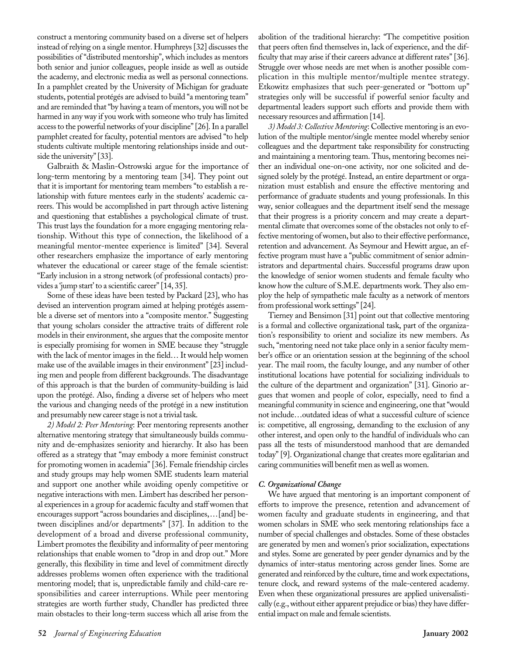*2) Model 2: Peer Mentoring*: Peer mentoring represents another alternative mentoring strategy that simultaneously builds community and de-emphasizes seniority and hierarchy. It also has been offered as a strategy that "may embody a more feminist construct

and presumably new career stage is not a trivial task.

vides a 'jump start' to a scientific career" [14, 35].

side the university" [33].

for promoting women in academia" [36]. Female friendship circles and study groups may help women SME students learn material and support one another while avoiding openly competitive or negative interactions with men. Limbert has described her personal experiences in a group for academic faculty and staff women that encourages support "across boundaries and disciplines,…[and] between disciplines and/or departments" [37]. In addition to the development of a broad and diverse professional community, Limbert promotes the flexibility and informality of peer mentoring relationships that enable women to "drop in and drop out." More generally, this flexibility in time and level of commitment directly addresses problems women often experience with the traditional mentoring model; that is, unpredictable family and child-care responsibilities and career interruptions. While peer mentoring strategies are worth further study, Chandler has predicted three main obstacles to their long-term success which all arise from the

construct a mentoring community based on a diverse set of helpers instead of relying on a single mentor. Humphreys [32] discusses the possibilities of "distributed mentorship", which includes as mentors both senior and junior colleagues, people inside as well as outside the academy, and electronic media as well as personal connections. In a pamphlet created by the University of Michigan for graduate students, potential protégés are advised to build "a mentoring team" and are reminded that "by having a team of mentors, you will not be harmed in any way if you work with someone who truly has limited access to the powerful networks of your discipline" [26]. In a parallel pamphlet created for faculty, potential mentors are advised "to help students cultivate multiple mentoring relationships inside and out-

Galbraith & Maslin-Ostrowski argue for the importance of long-term mentoring by a mentoring team [34]. They point out that it is important for mentoring team members "to establish a relationship with future mentees early in the students' academic careers. This would be accomplished in part through active listening and questioning that establishes a psychological climate of trust. This trust lays the foundation for a more engaging mentoring relationship. Without this type of connection, the likelihood of a meaningful mentor-mentee experience is limited" [34]. Several other researchers emphasize the importance of early mentoring whatever the educational or career stage of the female scientist: "Early inclusion in a strong network (of professional contacts) pro-

Some of these ideas have been tested by Packard [23], who has devised an intervention program aimed at helping protégés assemble a diverse set of mentors into a "composite mentor." Suggesting that young scholars consider the attractive traits of different role models in their environment, she argues that the composite mentor is especially promising for women in SME because they "struggle with the lack of mentor images in the field… It would help women make use of the available images in their environment" [23] including men and people from different backgrounds. The disadvantage of this approach is that the burden of community-building is laid upon the protégé. Also, finding a diverse set of helpers who meet the various and changing needs of the protégé in a new institution

abolition of the traditional hierarchy: "The competitive position that peers often find themselves in, lack of experience, and the difficulty that may arise if their careers advance at different rates" [36]. Struggle over whose needs are met when is another possible complication in this multiple mentor/multiple mentee strategy. Etkowitz emphasizes that such peer-generated or "bottom up" strategies only will be successful if powerful senior faculty and departmental leaders support such efforts and provide them with necessary resources and affirmation [14].

*3) Model 3: Collective Mentoring*: Collective mentoring is an evolution of the multiple mentor/single mentee model whereby senior colleagues and the department take responsibility for constructing and maintaining a mentoring team. Thus, mentoring becomes neither an individual one-on-one activity, nor one solicited and designed solely by the protégé. Instead, an entire department or organization must establish and ensure the effective mentoring and performance of graduate students and young professionals. In this way, senior colleagues and the department itself send the message that their progress is a priority concern and may create a departmental climate that overcomes some of the obstacles not only to effective mentoring of women, but also to their effective performance, retention and advancement. As Seymour and Hewitt argue, an effective program must have a "public commitment of senior administrators and departmental chairs. Successful programs draw upon the knowledge of senior women students and female faculty who know how the culture of S.M.E. departments work. They also employ the help of sympathetic male faculty as a network of mentors from professional work settings" [24].

Tierney and Bensimon [31] point out that collective mentoring is a formal and collective organizational task, part of the organization's responsibility to orient and socialize its new members. As such, "mentoring need not take place only in a senior faculty member's office or an orientation session at the beginning of the school year. The mail room, the faculty lounge, and any number of other institutional locations have potential for socializing individuals to the culture of the department and organization" [31]. Ginorio argues that women and people of color, especially, need to find a meaningful community in science and engineering, one that "would not include…outdated ideas of what a successful culture of science is: competitive, all engrossing, demanding to the exclusion of any other interest, and open only to the handful of individuals who can pass all the tests of misunderstood manhood that are demanded today" [9]. Organizational change that creates more egalitarian and caring communities will benefit men as well as women.

## *C. Organizational Change*

We have argued that mentoring is an important component of efforts to improve the presence, retention and advancement of women faculty and graduate students in engineering, and that women scholars in SME who seek mentoring relationships face a number of special challenges and obstacles. Some of these obstacles are generated by men and women's prior socialization, expectations and styles. Some are generated by peer gender dynamics and by the dynamics of inter-status mentoring across gender lines. Some are generated and reinforced by the culture, time and work expectations, tenure clock, and reward systems of the male-centered academy. Even when these organizational pressures are applied universalistically (e.g., without either apparent prejudice or bias) they have differential impact on male and female scientists.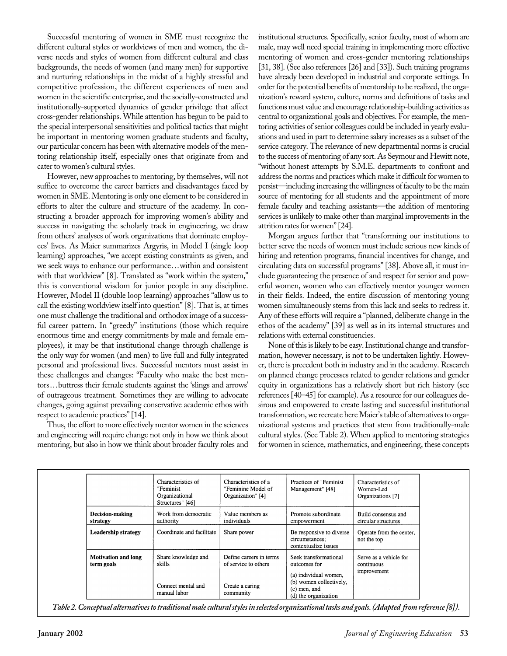Successful mentoring of women in SME must recognize the different cultural styles or worldviews of men and women, the diverse needs and styles of women from different cultural and class backgrounds, the needs of women (and many men) for supportive and nurturing relationships in the midst of a highly stressful and competitive profession, the different experiences of men and women in the scientific enterprise, and the socially-constructed and institutionally-supported dynamics of gender privilege that affect cross-gender relationships. While attention has begun to be paid to the special interpersonal sensitivities and political tactics that might be important in mentoring women graduate students and faculty, our particular concern has been with alternative models of the mentoring relationship itself, especially ones that originate from and cater to women's cultural styles.

However, new approaches to mentoring, by themselves, will not suffice to overcome the career barriers and disadvantages faced by women in SME. Mentoring is only one element to be considered in efforts to alter the culture and structure of the academy. In constructing a broader approach for improving women's ability and success in navigating the scholarly track in engineering, we draw from others' analyses of work organizations that dominate employees' lives. As Maier summarizes Argyris, in Model I (single loop learning) approaches, "we accept existing constraints as given, and we seek ways to enhance our performance…within and consistent with that worldview" [8]. Translated as "work within the system," this is conventional wisdom for junior people in any discipline. However, Model II (double loop learning) approaches "allow us to call the existing worldview itself into question" [8]. That is, at times one must challenge the traditional and orthodox image of a successful career pattern. In "greedy" institutions (those which require enormous time and energy commitments by male and female employees), it may be that institutional change through challenge is the only way for women (and men) to live full and fully integrated personal and professional lives. Successful mentors must assist in these challenges and changes: "Faculty who make the best mentors…buttress their female students against the 'slings and arrows' of outrageous treatment. Sometimes they are willing to advocate changes, going against prevailing conservative academic ethos with respect to academic practices" [14].

Thus, the effort to more effectively mentor women in the sciences and engineering will require change not only in how we think about mentoring, but also in how we think about broader faculty roles and institutional structures. Specifically, senior faculty, most of whom are male, may well need special training in implementing more effective mentoring of women and cross-gender mentoring relationships [31, 38]. (See also references [26] and [33]). Such training programs have already been developed in industrial and corporate settings. In order for the potential benefits of mentorship to be realized, the organization's reward system, culture, norms and definitions of tasks and functions must value and encourage relationship-building activities as central to organizational goals and objectives. For example, the mentoring activities of senior colleagues could be included in yearly evaluations and used in part to determine salary increases as a subset of the service category. The relevance of new departmental norms is crucial to the success of mentoring of any sort. As Seymour and Hewitt note, "without honest attempts by S.M.E. departments to confront and address the norms and practices which make it difficult for women to persist—including increasing the willingness of faculty to be the main source of mentoring for all students and the appointment of more female faculty and teaching assistants—the addition of mentoring services is unlikely to make other than marginal improvements in the attrition rates for women" [24].

Morgan argues further that "transforming our institutions to better serve the needs of women must include serious new kinds of hiring and retention programs, financial incentives for change, and circulating data on successful programs" [38]. Above all, it must include guaranteeing the presence of and respect for senior and powerful women, women who can effectively mentor younger women in their fields. Indeed, the entire discussion of mentoring young women simultaneously stems from this lack and seeks to redress it. Any of these efforts will require a "planned, deliberate change in the ethos of the academy" [39] as well as in its internal structures and relations with external constituencies.

None of this is likely to be easy. Institutional change and transformation, however necessary, is not to be undertaken lightly. However, there is precedent both in industry and in the academy. Research on planned change processes related to gender relations and gender equity in organizations has a relatively short but rich history (see references [40–45] for example). As a resource for our colleagues desirous and empowered to create lasting and successful institutional transformation, we recreate here Maier's table of alternatives to organizational systems and practices that stem from traditionally-male cultural styles. (See Table 2). When applied to mentoring strategies for women in science, mathematics, and engineering, these concepts

|                                          | Characteristics of<br>"Feminist<br>Organizational<br>Structures" [46] | Characteristics of a<br>"Feminine Model of<br>Organization" [4] | Practices of "Feminist"<br>Management" [48]                        | Characteristics of<br>Women-Led<br>Organizations [7] |
|------------------------------------------|-----------------------------------------------------------------------|-----------------------------------------------------------------|--------------------------------------------------------------------|------------------------------------------------------|
| Decision-making<br>strategy              | Work from democratic<br>authority                                     | Value members as<br>individuals                                 | Promote subordinate<br>empowerment                                 | Build consensus and<br>circular structures           |
| <b>Leadership strategy</b>               | Coordinate and facilitate                                             | Share power                                                     | Be responsive to diverse<br>circumstances;<br>contextualize issues | Operate from the center,<br>not the top              |
| <b>Motivation and long</b><br>term goals | Share knowledge and<br>skills                                         | Define careers in terms<br>of service to others                 | Seek transformational<br>outcomes for<br>(a) individual women,     | Serve as a vehicle for<br>continuous<br>improvement  |
|                                          | Connect mental and<br>manual labor                                    | Create a caring<br>community                                    | (b) women collectively,<br>$(c)$ men, and<br>(d) the organization  |                                                      |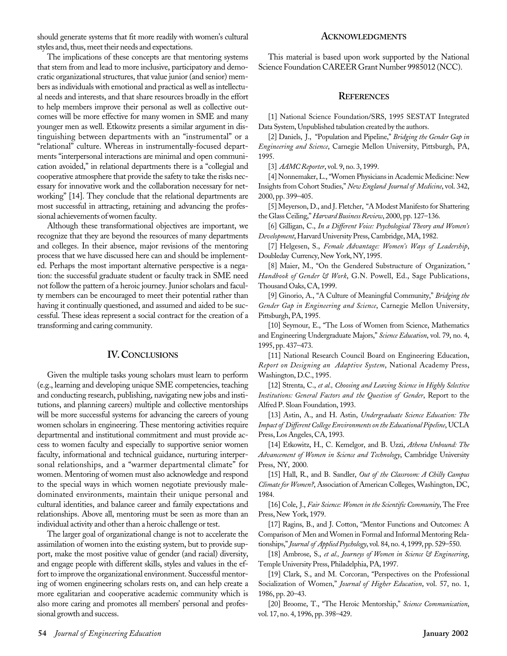should generate systems that fit more readily with women's cultural styles and, thus, meet their needs and expectations.

The implications of these concepts are that mentoring systems that stem from and lead to more inclusive, participatory and democratic organizational structures, that value junior (and senior) members as individuals with emotional and practical as well as intellectual needs and interests, and that share resources broadly in the effort to help members improve their personal as well as collective outcomes will be more effective for many women in SME and many younger men as well. Etkowitz presents a similar argument in distinguishing between departments with an "instrumental" or a "relational" culture. Whereas in instrumentally-focused departments "interpersonal interactions are minimal and open communication avoided," in relational departments there is a "collegial and cooperative atmosphere that provide the safety to take the risks necessary for innovative work and the collaboration necessary for networking" [14]. They conclude that the relational departments are most successful in attracting, retaining and advancing the professional achievements of women faculty.

Although these transformational objectives are important, we recognize that they are beyond the resources of many departments and colleges. In their absence, major revisions of the mentoring process that we have discussed here can and should be implemented. Perhaps the most important alternative perspective is a negation: the successful graduate student or faculty track in SME need not follow the pattern of a heroic journey. Junior scholars and faculty members can be encouraged to meet their potential rather than having it continually questioned, and assumed and aided to be successful. These ideas represent a social contract for the creation of a transforming and caring community.

# **IV. CONCLUSIONS**

Given the multiple tasks young scholars must learn to perform (e.g., learning and developing unique SME competencies, teaching and conducting research, publishing, navigating new jobs and institutions, and planning careers) multiple and collective mentorships will be more successful systems for advancing the careers of young women scholars in engineering. These mentoring activities require departmental and institutional commitment and must provide access to women faculty and especially to supportive senior women faculty, informational and technical guidance, nurturing interpersonal relationships, and a "warmer departmental climate" for women. Mentoring of women must also acknowledge and respond to the special ways in which women negotiate previously maledominated environments, maintain their unique personal and cultural identities, and balance career and family expectations and relationships. Above all, mentoring must be seen as more than an individual activity and other than a heroic challenge or test.

The larger goal of organizational change is not to accelerate the assimilation of women into the existing system, but to provide support, make the most positive value of gender (and racial) diversity, and engage people with different skills, styles and values in the effort to improve the organizational environment. Successful mentoring of women engineering scholars rests on, and can help create a more egalitarian and cooperative academic community which is also more caring and promotes all members' personal and professional growth and success.

#### **ACKNOWLEDGMENTS**

This material is based upon work supported by the National Science Foundation CAREER Grant Number 9985012 (NCC).

#### **REFERENCES**

[1] National Science Foundation/SRS, 1995 SESTAT Integrated Data System, Unpublished tabulation created by the authors.

[2] Daniels, J., "Population and Pipeline," *Bridging the Gender Gap in Engineering and Science*, Carnegie Mellon University, Pittsburgh, PA, 1995.

[3] *AAMC Reporter*, vol. 9, no. 3, 1999.

[4] Nonnemaker, L., "Women Physicians in Academic Medicine: New Insights from Cohort Studies," *New England Journal of Medicine*, vol. 342, 2000, pp. 399–405.

[5] Meyerson, D., and J. Fletcher, "A Modest Manifesto for Shattering the Glass Ceiling," *Harvard Business Review*, 2000, pp. 127–136.

[6] Gilligan, C., *In a Different Voice: Psychological Theory and Women's Development*, Harvard University Press, Cambridge, MA, 1982.

[7] Helgesen, S., *Female Advantage: Women's Ways of Leadership*, Doubleday Currency, New York, NY, 1995.

[8] Maier, M., "On the Gendered Substructure of Organization*," Handbook of Gender & Work*, G.N. Powell, Ed., Sage Publications, Thousand Oaks, CA, 1999.

[9] Ginorio, A., "A Culture of Meaningful Community," *Bridging the Gender Gap in Engineering and Science*, Carnegie Mellon University, Pittsburgh, PA, 1995.

[10] Seymour, E., "The Loss of Women from Science, Mathematics and Engineering Undergraduate Majors," *Science Education*, vol. 79, no. 4, 1995, pp. 437–473.

[11] National Research Council Board on Engineering Education, *Report on Designing an Adaptive System*, National Academy Press, Washington, D.C., 1995.

[12] Strenta, C., *et al., Choosing and Leaving Science in Highly Selective Institutions: General Factors and the Question of Gender*, Report to the Alfred P. Sloan Foundation, 1993.

[13] Astin, A., and H. Astin, *Undergraduate Science Education: The Impact of Different College Environments on the Educational Pipeline*, UCLA Press, Los Angeles, CA, 1993.

[14] Etkowitz, H., C. Kemelgor, and B. Uzzi, *Athena Unbound: The Advancement of Women in Science and Technology*, Cambridge University Press, NY, 2000.

[15] Hall, R., and B. Sandler, *Out of the Classroom: A Chilly Campus Climate for Women?*, Association of American Colleges, Washington, DC, 1984.

[16] Cole, J., *Fair Science: Women in the Scientific Community*, The Free Press, New York, 1979.

[17] Ragins, B., and J. Cotton, "Mentor Functions and Outcomes: A Comparison of Men and Women in Formal and Informal Mentoring Relationships," *Journal of Applied Psychology*, vol. 84, no. 4, 1999, pp. 529–550.

[18] Ambrose, S., *et al., Journeys of Women in Science & Engineering*, Temple University Press, Philadelphia, PA, 1997.

[19] Clark, S., and M. Corcoran, "Perspectives on the Professional Socialization of Women," *Journal of Higher Education*, vol. 57, no. 1, 1986, pp. 20–43.

[20] Broome, T., "The Heroic Mentorship," *Science Communication*, vol. 17, no. 4, 1996, pp. 398–429.